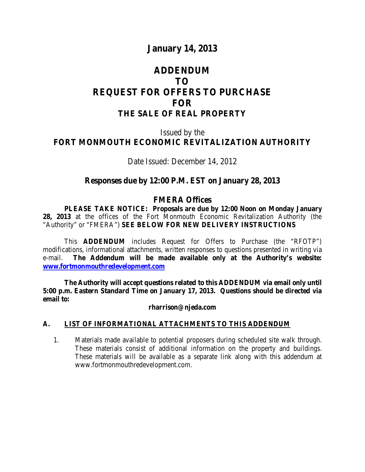# **January 14, 2013**

# **ADDENDUM TO REQUEST FOR OFFERS TO PURCHASE FOR THE SALE OF REAL PROPERTY**

# Issued by the **FORT MONMOUTH ECONOMIC REVITALIZATION AUTHORITY**

Date Issued: December 14, 2012

## **Responses due by 12:00 P.M. EST on January 28, 2013**

#### **FMERA Offices**

**PLEASE TAKE NOTICE: Proposals are due by 12:00 Noon on Monday January 28, 2013** at the offices of the Fort Monmouth Economic Revitalization Authority (the "Authority" or "FMERA") **SEE BELOW FOR NEW DELIVERY INSTRUCTIONS**

This **ADDENDUM** includes Request for Offers to Purchase (the "RFOTP") modifications, informational attachments, written responses to questions presented in writing via e-mail. **The Addendum will be made available only at the Authority's website: [www.fortmonmouthredevelopment.com](http://www.fortmonmouthredevelopment.com/)**

**The Authority will accept questions related to this ADDENDUM via email only until 5:00 p.m. Eastern Standard Time on January 17, 2013. Questions should be directed via email to:**

**rharrison@njeda.com**

#### **A. LIST OF INFORMATIONAL ATTACHMENTS TO THIS ADDENDUM**

1. Materials made available to potential proposers during scheduled site walk through. These materials consist of additional information on the property and buildings. These materials will be available as a separate link along with this addendum at www.fortmonmouthredevelopment.com.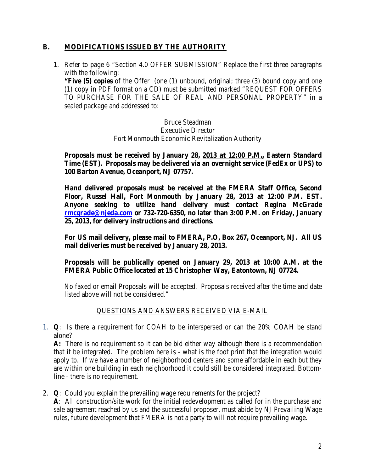## **B. MODIFICATIONS ISSUED BY THE AUTHORITY**

1. Refer to page 6 "Section 4.0 OFFER SUBMISSION" Replace the first three paragraphs with the following:

**"Five (5) copies** of the Offer (one (1) unbound, original; three (3) bound copy and one (1) copy in PDF format on a CD) must be submitted marked "REQUEST FOR OFFERS TO PURCHASE FOR THE SALE OF REAL AND PERSONAL PROPERTY" in a sealed package and addressed to:

> Bruce Steadman Executive Director Fort Monmouth Economic Revitalization Authority

**Proposals must be received by January 28, 2013 at 12:00 P.M., Eastern Standard Time (EST). Proposals may be delivered via an overnight service (FedEx or UPS) to 100 Barton Avenue, Oceanport, NJ 07757.**

**Hand delivered proposals must be received at the FMERA Staff Office, Second Floor, Russel Hall, Fort Monmouth by January 28, 2013 at 12:00 P.M. EST. Anyone seeking to utilize hand delivery must contact Regina McGrade [rmcgrade@njeda.com](mailto:rmcgrade@njeda.com) or 732-720-6350, no later than 3:00 P.M. on Friday, January 25, 2013, for delivery instructions and directions.**

**For US mail delivery, please mail to FMERA, P.O, Box 267, Oceanport, NJ. All US mail deliveries must be received by January 28, 2013.**

#### **Proposals will be publically opened on January 29, 2013 at 10:00 A.M. at the FMERA Public Office located at 15 Christopher Way, Eatontown, NJ 07724.**

No faxed or email Proposals will be accepted. Proposals received after the time and date listed above will not be considered."

## QUESTIONS AND ANSWERS RECEIVED VIA E-MAIL

1. **Q**: Is there a requirement for COAH to be interspersed or can the 20% COAH be stand alone?

**A:** There is no requirement so it can be bid either way although there is a recommendation that it be integrated. The problem here is - what is the foot print that the integration would apply to. If we have a number of neighborhood centers and some affordable in each but they are within one building in each neighborhood it could still be considered integrated. Bottomline - there is no requirement.

2. **Q**: Could you explain the prevailing wage requirements for the project? **A**: All construction/site work for the initial redevelopment as called for in the purchase and sale agreement reached by us and the successful proposer, must abide by NJ Prevailing Wage rules, future development that FMERA is not a party to will not require prevailing wage.